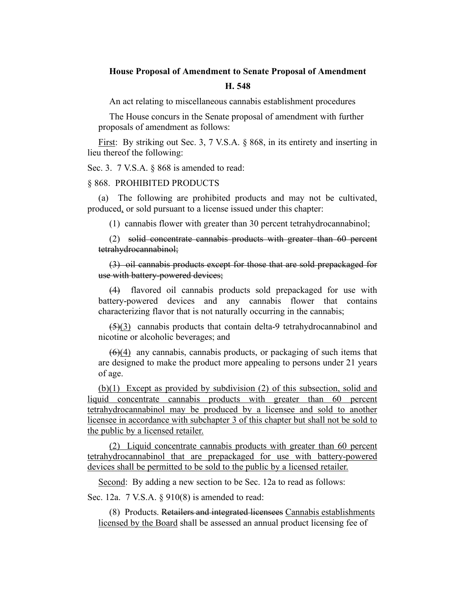## **House Proposal of Amendment to Senate Proposal of Amendment**

## **H. 548**

An act relating to miscellaneous cannabis establishment procedures

The House concurs in the Senate proposal of amendment with further proposals of amendment as follows:

First: By striking out Sec. 3, 7 V.S.A. § 868, in its entirety and inserting in lieu thereof the following:

Sec. 3. 7 V.S.A. § 868 is amended to read:

## § 868. PROHIBITED PRODUCTS

(a) The following are prohibited products and may not be cultivated, produced, or sold pursuant to a license issued under this chapter:

(1) cannabis flower with greater than 30 percent tetrahydrocannabinol;

(2) solid concentrate cannabis products with greater than 60 percent tetrahydrocannabinol;

(3) oil cannabis products except for those that are sold prepackaged for use with battery-powered devices;

(4) flavored oil cannabis products sold prepackaged for use with battery-powered devices and any cannabis flower that contains characterizing flavor that is not naturally occurring in the cannabis;

 $(5)(3)$  cannabis products that contain delta-9 tetrahydrocannabinol and nicotine or alcoholic beverages; and

 $(6)(4)$  any cannabis, cannabis products, or packaging of such items that are designed to make the product more appealing to persons under 21 years of age.

(b)(1) Except as provided by subdivision (2) of this subsection, solid and liquid concentrate cannabis products with greater than 60 percent tetrahydrocannabinol may be produced by a licensee and sold to another licensee in accordance with subchapter 3 of this chapter but shall not be sold to the public by a licensed retailer.

(2) Liquid concentrate cannabis products with greater than 60 percent tetrahydrocannabinol that are prepackaged for use with battery-powered devices shall be permitted to be sold to the public by a licensed retailer.

Second: By adding a new section to be Sec. 12a to read as follows:

Sec. 12a. 7 V.S.A. § 910(8) is amended to read:

(8) Products. Retailers and integrated licensees Cannabis establishments licensed by the Board shall be assessed an annual product licensing fee of